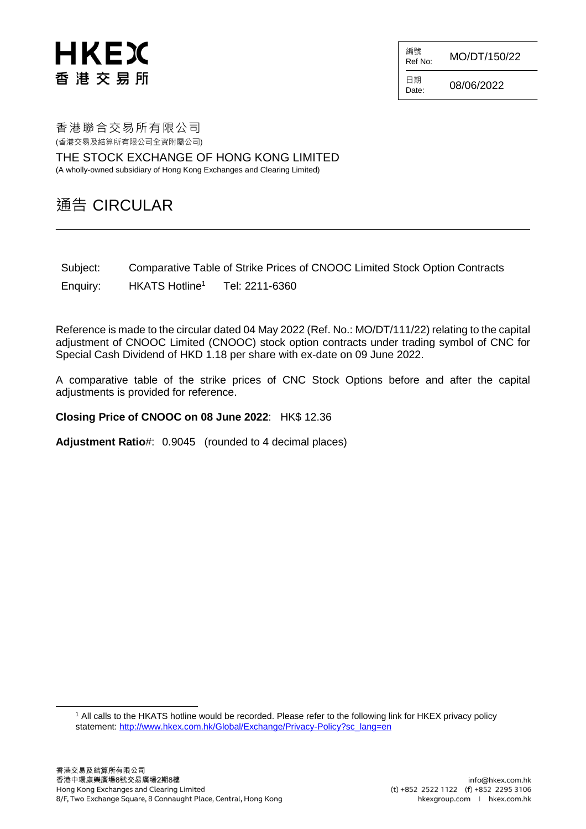# **HKEX** 香港交易所

 $R_{\text{Ref No:}}$  MO/DT/150/22

日期  $D_{\text{late}}$  08/06/2022

編號

香港聯合交易所有限公司 (香港交易及結算所有限公司全資附屬公司)

THE STOCK EXCHANGE OF HONG KONG LIMITED (A wholly-owned subsidiary of Hong Kong Exchanges and Clearing Limited)

#### 通告 CIRCULAR

Subject: Comparative Table of Strike Prices of CNOOC Limited Stock Option Contracts

Enquiry: HKATS Hotline<sup>1</sup> Tel: 2211-6360

Reference is made to the circular dated 04 May 2022 (Ref. No.: MO/DT/111/22) relating to the capital adjustment of CNOOC Limited (CNOOC) stock option contracts under trading symbol of CNC for Special Cash Dividend of HKD 1.18 per share with ex-date on 09 June 2022.

A comparative table of the strike prices of CNC Stock Options before and after the capital adjustments is provided for reference.

**Closing Price of CNOOC on 08 June 2022**: HK\$ 12.36

**Adjustment Ratio**#: 0.9045 (rounded to 4 decimal places)

<sup>1</sup> All calls to the HKATS hotline would be recorded. Please refer to the following link for HKEX privacy policy statement: [http://www.hkex.com.hk/Global/Exchange/Privacy-Policy?sc\\_lang=en](http://www.hkex.com.hk/Global/Exchange/Privacy-Policy?sc_lang=en)

l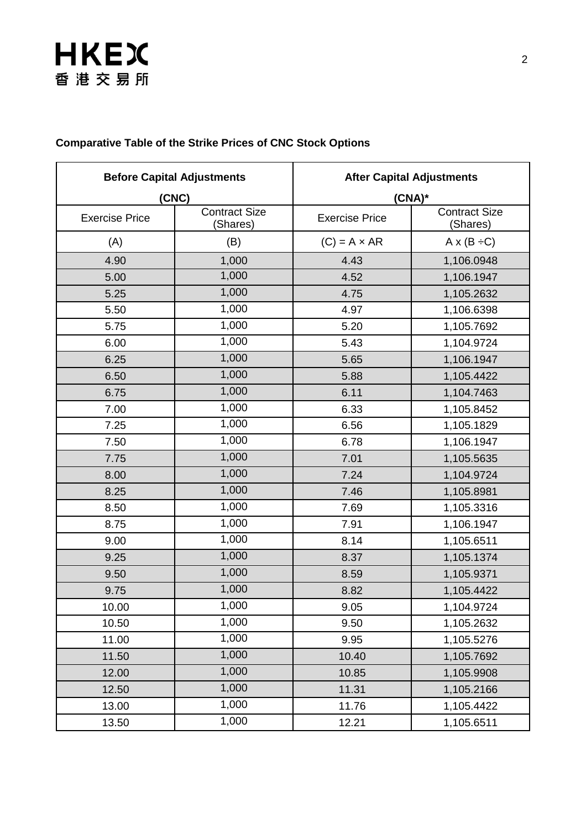# **HKEX** 香港交易所

| <b>Before Capital Adjustments</b> |                                  | <b>After Capital Adjustments</b> |                                  |
|-----------------------------------|----------------------------------|----------------------------------|----------------------------------|
| (CNC)                             |                                  | $(CNA)^*$                        |                                  |
| <b>Exercise Price</b>             | <b>Contract Size</b><br>(Shares) | <b>Exercise Price</b>            | <b>Contract Size</b><br>(Shares) |
| (A)                               | (B)                              | $(C) = A \times AR$              | $A \times (B \div C)$            |
| 4.90                              | 1,000                            | 4.43                             | 1,106.0948                       |
| 5.00                              | 1,000                            | 4.52                             | 1,106.1947                       |
| 5.25                              | 1,000                            | 4.75                             | 1,105.2632                       |
| 5.50                              | 1,000                            | 4.97                             | 1,106.6398                       |
| 5.75                              | 1,000                            | 5.20                             | 1,105.7692                       |
| 6.00                              | 1,000                            | 5.43                             | 1,104.9724                       |
| 6.25                              | 1,000                            | 5.65                             | 1,106.1947                       |
| 6.50                              | 1,000                            | 5.88                             | 1,105.4422                       |
| 6.75                              | 1,000                            | 6.11                             | 1,104.7463                       |
| 7.00                              | 1,000                            | 6.33                             | 1,105.8452                       |
| 7.25                              | 1,000                            | 6.56                             | 1,105.1829                       |
| 7.50                              | 1,000                            | 6.78                             | 1,106.1947                       |
| 7.75                              | 1,000                            | 7.01                             | 1,105.5635                       |
| 8.00                              | 1,000                            | 7.24                             | 1,104.9724                       |
| 8.25                              | 1,000                            | 7.46                             | 1,105.8981                       |
| 8.50                              | 1,000                            | 7.69                             | 1,105.3316                       |
| 8.75                              | 1,000                            | 7.91                             | 1,106.1947                       |
| 9.00                              | 1,000                            | 8.14                             | 1,105.6511                       |
| 9.25                              | 1,000                            | 8.37                             | 1,105.1374                       |
| 9.50                              | 1,000                            | 8.59                             | 1,105.9371                       |
| 9.75                              | 1,000                            | 8.82                             | 1,105.4422                       |
| 10.00                             | 1,000                            | 9.05                             | 1,104.9724                       |
| 10.50                             | 1,000                            | 9.50                             | 1,105.2632                       |
| 11.00                             | 1,000                            | 9.95                             | 1,105.5276                       |
| 11.50                             | 1,000                            | 10.40                            | 1,105.7692                       |
| 12.00                             | 1,000                            | 10.85                            | 1,105.9908                       |
| 12.50                             | 1,000                            | 11.31                            | 1,105.2166                       |
| 13.00                             | 1,000                            | 11.76                            | 1,105.4422                       |
| 13.50                             | 1,000                            | 12.21                            | 1,105.6511                       |

#### **Comparative Table of the Strike Prices of CNC Stock Options**